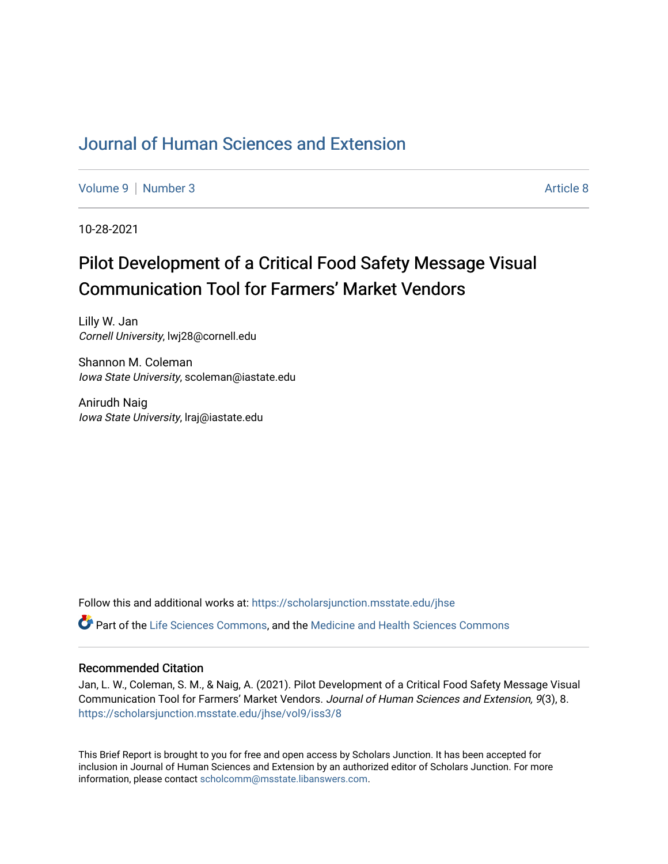# [Journal of Human Sciences and Extension](https://scholarsjunction.msstate.edu/jhse)

[Volume 9](https://scholarsjunction.msstate.edu/jhse/vol9) | [Number 3](https://scholarsjunction.msstate.edu/jhse/vol9/iss3) Article 8

10-28-2021

# Pilot Development of a Critical Food Safety Message Visual Communication Tool for Farmers' Market Vendors

Lilly W. Jan Cornell University, lwj28@cornell.edu

Shannon M. Coleman Iowa State University, scoleman@iastate.edu

Anirudh Naig Iowa State University, lraj@iastate.edu

Follow this and additional works at: [https://scholarsjunction.msstate.edu/jhse](https://scholarsjunction.msstate.edu/jhse?utm_source=scholarsjunction.msstate.edu%2Fjhse%2Fvol9%2Fiss3%2F8&utm_medium=PDF&utm_campaign=PDFCoverPages)

Part of the [Life Sciences Commons,](http://network.bepress.com/hgg/discipline/1016?utm_source=scholarsjunction.msstate.edu%2Fjhse%2Fvol9%2Fiss3%2F8&utm_medium=PDF&utm_campaign=PDFCoverPages) and the [Medicine and Health Sciences Commons](http://network.bepress.com/hgg/discipline/648?utm_source=scholarsjunction.msstate.edu%2Fjhse%2Fvol9%2Fiss3%2F8&utm_medium=PDF&utm_campaign=PDFCoverPages)

#### Recommended Citation

Jan, L. W., Coleman, S. M., & Naig, A. (2021). Pilot Development of a Critical Food Safety Message Visual Communication Tool for Farmers' Market Vendors. Journal of Human Sciences and Extension, 9(3), 8. [https://scholarsjunction.msstate.edu/jhse/vol9/iss3/8](https://scholarsjunction.msstate.edu/jhse/vol9/iss3/8?utm_source=scholarsjunction.msstate.edu%2Fjhse%2Fvol9%2Fiss3%2F8&utm_medium=PDF&utm_campaign=PDFCoverPages)

This Brief Report is brought to you for free and open access by Scholars Junction. It has been accepted for inclusion in Journal of Human Sciences and Extension by an authorized editor of Scholars Junction. For more information, please contact [scholcomm@msstate.libanswers.com](mailto:scholcomm@msstate.libanswers.com).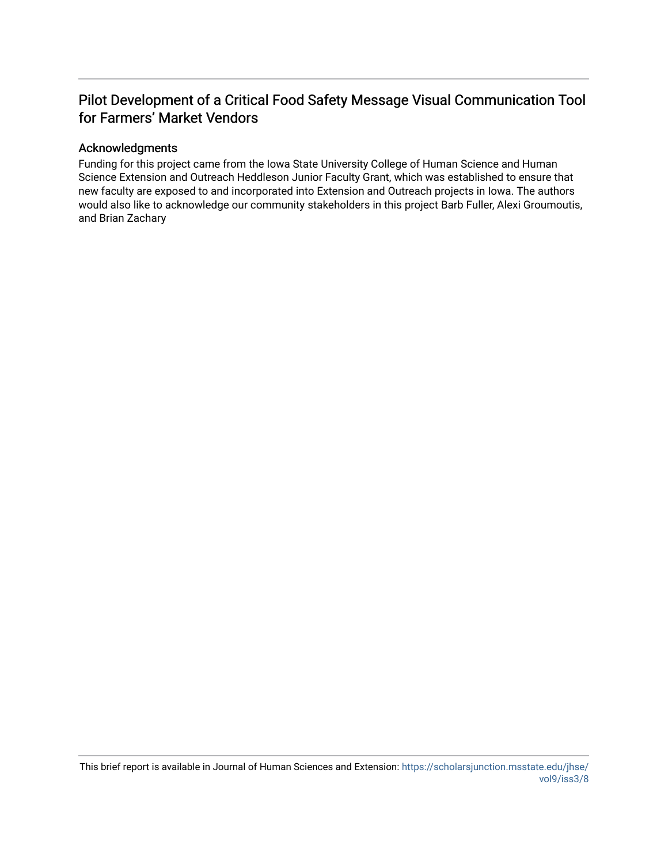# Pilot Development of a Critical Food Safety Message Visual Communication Tool for Farmers' Market Vendors

#### Acknowledgments

Funding for this project came from the Iowa State University College of Human Science and Human Science Extension and Outreach Heddleson Junior Faculty Grant, which was established to ensure that new faculty are exposed to and incorporated into Extension and Outreach projects in Iowa. The authors would also like to acknowledge our community stakeholders in this project Barb Fuller, Alexi Groumoutis, and Brian Zachary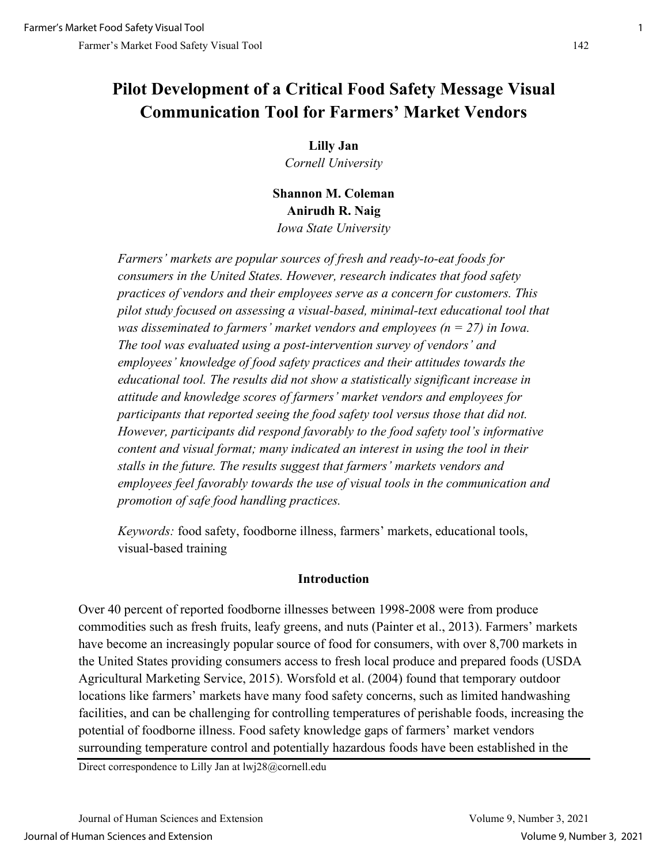# **Pilot Development of a Critical Food Safety Message Visual Communication Tool for Farmers' Market Vendors**

**Lilly Jan** 

*Cornell University*

**Shannon M. Coleman Anirudh R. Naig** *Iowa State University* 

*Farmers' markets are popular sources of fresh and ready-to-eat foods for consumers in the United States. However, research indicates that food safety practices of vendors and their employees serve as a concern for customers. This pilot study focused on assessing a visual-based, minimal-text educational tool that was disseminated to farmers' market vendors and employees (* $n = 27$ *) in Iowa. The tool was evaluated using a post-intervention survey of vendors' and employees' knowledge of food safety practices and their attitudes towards the educational tool. The results did not show a statistically significant increase in attitude and knowledge scores of farmers' market vendors and employees for participants that reported seeing the food safety tool versus those that did not. However, participants did respond favorably to the food safety tool's informative content and visual format; many indicated an interest in using the tool in their stalls in the future. The results suggest that farmers' markets vendors and employees feel favorably towards the use of visual tools in the communication and promotion of safe food handling practices.* 

*Keywords:* food safety, foodborne illness, farmers' markets, educational tools, visual-based training

# **Introduction**

Over 40 percent of reported foodborne illnesses between 1998-2008 were from produce commodities such as fresh fruits, leafy greens, and nuts (Painter et al., 2013). Farmers' markets have become an increasingly popular source of food for consumers, with over 8,700 markets in the United States providing consumers access to fresh local produce and prepared foods (USDA Agricultural Marketing Service, 2015). Worsfold et al. (2004) found that temporary outdoor locations like farmers' markets have many food safety concerns, such as limited handwashing facilities, and can be challenging for controlling temperatures of perishable foods, increasing the potential of foodborne illness. Food safety knowledge gaps of farmers' market vendors surrounding temperature control and potentially hazardous foods have been established in the

Direct correspondence to Lilly Jan at lwj28@cornell.edu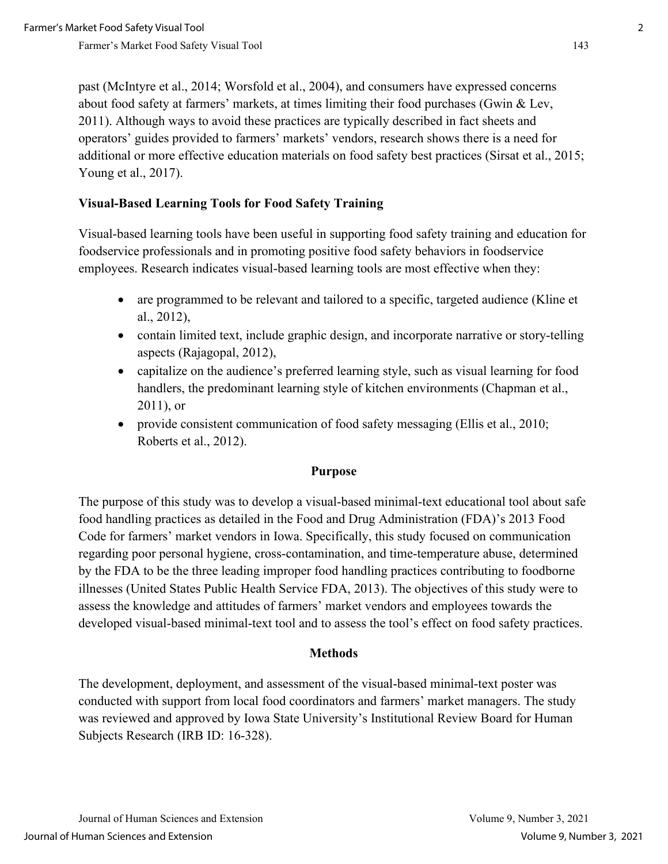past (McIntyre et al., 2014; Worsfold et al., 2004), and consumers have expressed concerns about food safety at farmers' markets, at times limiting their food purchases (Gwin & Lev, 2011). Although ways to avoid these practices are typically described in fact sheets and operators' guides provided to farmers' markets' vendors, research shows there is a need for additional or more effective education materials on food safety best practices (Sirsat et al., 2015; Young et al., 2017).

# **Visual-Based Learning Tools for Food Safety Training**

Visual-based learning tools have been useful in supporting food safety training and education for foodservice professionals and in promoting positive food safety behaviors in foodservice employees. Research indicates visual-based learning tools are most effective when they:

- are programmed to be relevant and tailored to a specific, targeted audience (Kline et al., 2012),
- contain limited text, include graphic design, and incorporate narrative or story-telling aspects (Rajagopal, 2012),
- capitalize on the audience's preferred learning style, such as visual learning for food handlers, the predominant learning style of kitchen environments (Chapman et al., 2011), or
- provide consistent communication of food safety messaging (Ellis et al., 2010; Roberts et al., 2012).

## **Purpose**

The purpose of this study was to develop a visual-based minimal-text educational tool about safe food handling practices as detailed in the Food and Drug Administration (FDA)'s 2013 Food Code for farmers' market vendors in Iowa. Specifically, this study focused on communication regarding poor personal hygiene, cross-contamination, and time-temperature abuse, determined by the FDA to be the three leading improper food handling practices contributing to foodborne illnesses (United States Public Health Service FDA, 2013). The objectives of this study were to assess the knowledge and attitudes of farmers' market vendors and employees towards the developed visual-based minimal-text tool and to assess the tool's effect on food safety practices.

## **Methods**

The development, deployment, and assessment of the visual-based minimal-text poster was conducted with support from local food coordinators and farmers' market managers. The study was reviewed and approved by Iowa State University's Institutional Review Board for Human Subjects Research (IRB ID: 16-328).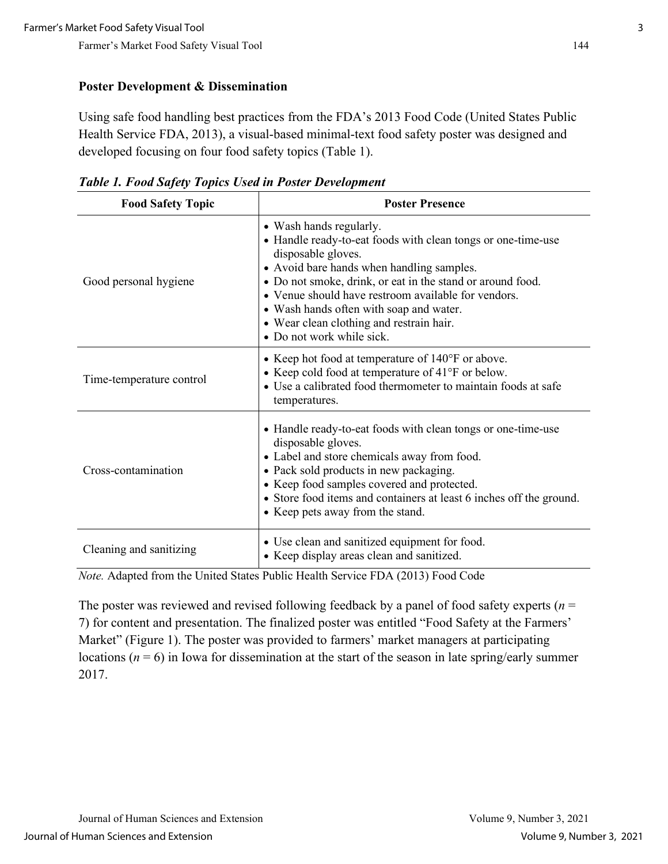#### **Poster Development & Dissemination**

Using safe food handling best practices from the FDA's 2013 Food Code (United States Public Health Service FDA, 2013), a visual-based minimal-text food safety poster was designed and developed focusing on four food safety topics (Table 1).

| <b>Food Safety Topic</b> | <b>Poster Presence</b>                                                                                                                                                                                                                                                                                                                                                                              |
|--------------------------|-----------------------------------------------------------------------------------------------------------------------------------------------------------------------------------------------------------------------------------------------------------------------------------------------------------------------------------------------------------------------------------------------------|
| Good personal hygiene    | • Wash hands regularly.<br>• Handle ready-to-eat foods with clean tongs or one-time-use<br>disposable gloves.<br>• Avoid bare hands when handling samples.<br>• Do not smoke, drink, or eat in the stand or around food.<br>• Venue should have restroom available for vendors.<br>• Wash hands often with soap and water.<br>• Wear clean clothing and restrain hair.<br>• Do not work while sick. |
| Time-temperature control | • Keep hot food at temperature of $140^{\circ}$ F or above.<br>• Keep cold food at temperature of 41°F or below.<br>• Use a calibrated food thermometer to maintain foods at safe<br>temperatures.                                                                                                                                                                                                  |
| Cross-contamination      | • Handle ready-to-eat foods with clean tongs or one-time-use<br>disposable gloves.<br>• Label and store chemicals away from food.<br>• Pack sold products in new packaging.<br>• Keep food samples covered and protected.<br>• Store food items and containers at least 6 inches off the ground.<br>• Keep pets away from the stand.                                                                |
| Cleaning and sanitizing  | • Use clean and sanitized equipment for food.<br>• Keep display areas clean and sanitized.                                                                                                                                                                                                                                                                                                          |

*Table 1. Food Safety Topics Used in Poster Development* 

*Note.* Adapted from the United States Public Health Service FDA (2013) Food Code

The poster was reviewed and revised following feedback by a panel of food safety experts (*n* = 7) for content and presentation. The finalized poster was entitled "Food Safety at the Farmers' Market" (Figure 1). The poster was provided to farmers' market managers at participating locations ( $n = 6$ ) in Iowa for dissemination at the start of the season in late spring/early summer 2017.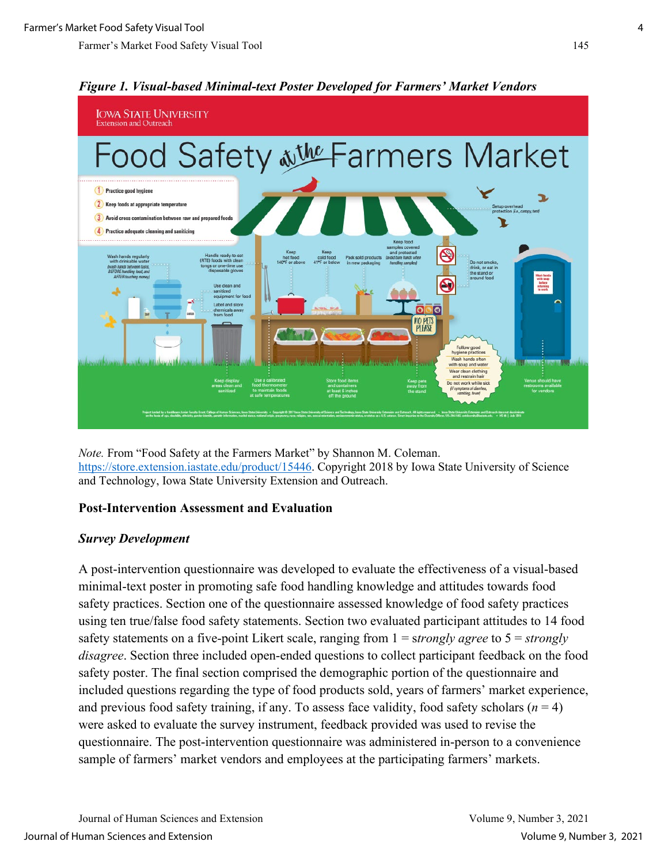

# *Figure 1. Visual-based Minimal-text Poster Developed for Farmers' Market Vendors*

*Note.* From "Food Safety at the Farmers Market" by Shannon M. Coleman. [https://store.extension.iastate.edu/product/15446.](https://store.extension.iastate.edu/product/15446) Copyright 2018 by Iowa State University of Science and Technology, Iowa State University Extension and Outreach.

## **Post-Intervention Assessment and Evaluation**

## *Survey Development*

A post-intervention questionnaire was developed to evaluate the effectiveness of a visual-based minimal-text poster in promoting safe food handling knowledge and attitudes towards food safety practices. Section one of the questionnaire assessed knowledge of food safety practices using ten true/false food safety statements. Section two evaluated participant attitudes to 14 food safety statements on a five-point Likert scale, ranging from 1 = s*trongly agree* to 5 = *strongly disagree*. Section three included open-ended questions to collect participant feedback on the food safety poster. The final section comprised the demographic portion of the questionnaire and included questions regarding the type of food products sold, years of farmers' market experience, and previous food safety training, if any. To assess face validity, food safety scholars  $(n = 4)$ were asked to evaluate the survey instrument, feedback provided was used to revise the questionnaire. The post-intervention questionnaire was administered in-person to a convenience sample of farmers' market vendors and employees at the participating farmers' markets.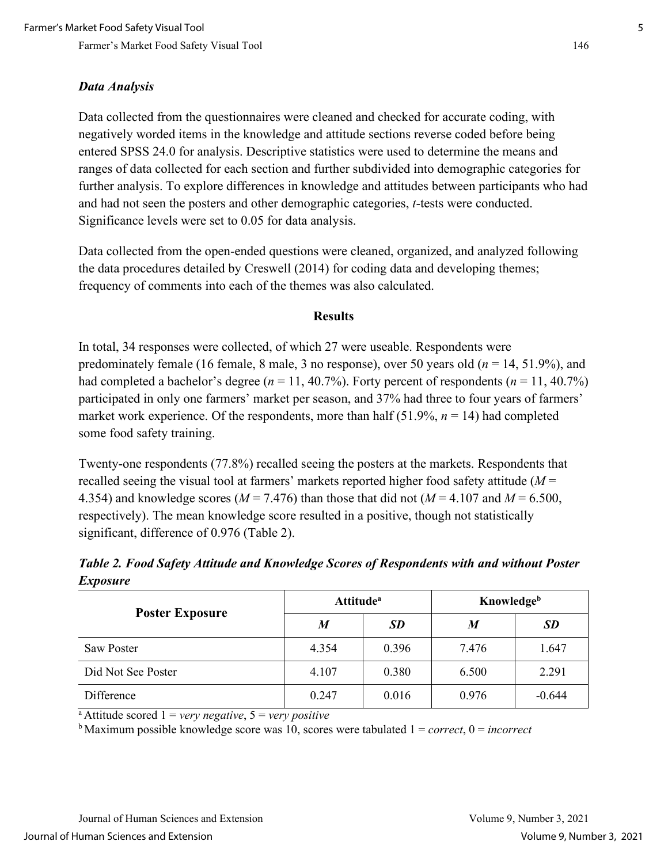## *Data Analysis*

Data collected from the questionnaires were cleaned and checked for accurate coding, with negatively worded items in the knowledge and attitude sections reverse coded before being entered SPSS 24.0 for analysis. Descriptive statistics were used to determine the means and ranges of data collected for each section and further subdivided into demographic categories for further analysis. To explore differences in knowledge and attitudes between participants who had and had not seen the posters and other demographic categories, *t*-tests were conducted. Significance levels were set to 0.05 for data analysis.

Data collected from the open-ended questions were cleaned, organized, and analyzed following the data procedures detailed by Creswell (2014) for coding data and developing themes; frequency of comments into each of the themes was also calculated.

#### **Results**

In total, 34 responses were collected, of which 27 were useable. Respondents were predominately female (16 female, 8 male, 3 no response), over 50 years old (*n* = 14, 51.9%), and had completed a bachelor's degree ( $n = 11, 40.7\%$ ). Forty percent of respondents ( $n = 11, 40.7\%$ ) participated in only one farmers' market per season, and 37% had three to four years of farmers' market work experience. Of the respondents, more than half  $(51.9\%, n = 14)$  had completed some food safety training.

Twenty-one respondents (77.8%) recalled seeing the posters at the markets. Respondents that recalled seeing the visual tool at farmers' markets reported higher food safety attitude (*M* = 4.354) and knowledge scores ( $M = 7.476$ ) than those that did not ( $M = 4.107$  and  $M = 6.500$ , respectively). The mean knowledge score resulted in a positive, though not statistically significant, difference of 0.976 (Table 2).

*Table 2. Food Safety Attitude and Knowledge Scores of Respondents with and without Poster Exposure* 

| <b>Poster Exposure</b> | <b>Attitude</b> <sup>a</sup> |           | <b>Knowledge</b> <sup>b</sup> |          |  |  |
|------------------------|------------------------------|-----------|-------------------------------|----------|--|--|
|                        | M                            | <b>SD</b> | M                             | SD       |  |  |
| Saw Poster             | 4.354                        | 0.396     | 7.476                         | 1.647    |  |  |
| Did Not See Poster     | 4.107                        | 0.380     | 6.500                         | 2.291    |  |  |
| Difference             | 0.247                        | 0.016     | 0.976                         | $-0.644$ |  |  |

<sup>a</sup> Attitude scored  $1 = \text{very negative}, 5 = \text{very positive}$ <br><sup>b</sup> Maximum possible knowledge score was 10, scores were tabulated  $1 = \text{correct}, 0 = \text{incorrect}$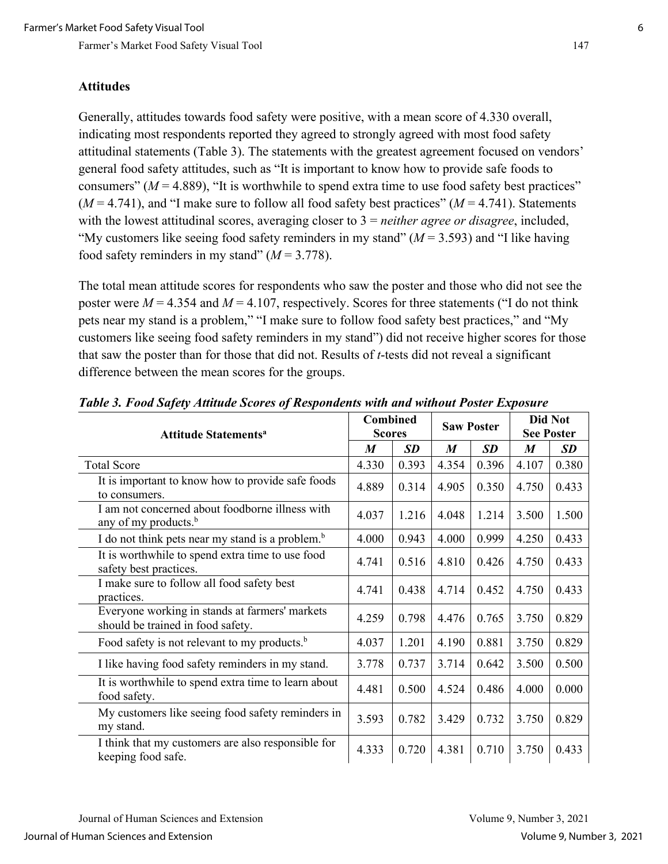#### **Attitudes**

Generally, attitudes towards food safety were positive, with a mean score of 4.330 overall, indicating most respondents reported they agreed to strongly agreed with most food safety attitudinal statements (Table 3). The statements with the greatest agreement focused on vendors' general food safety attitudes, such as "It is important to know how to provide safe foods to consumers" ( $M = 4.889$ ), "It is worthwhile to spend extra time to use food safety best practices"  $(M = 4.741)$ , and "I make sure to follow all food safety best practices"  $(M = 4.741)$ . Statements with the lowest attitudinal scores, averaging closer to 3 = *neither agree or disagree*, included, "My customers like seeing food safety reminders in my stand"  $(M = 3.593)$  and "I like having food safety reminders in my stand"  $(M = 3.778)$ .

The total mean attitude scores for respondents who saw the poster and those who did not see the poster were  $M = 4.354$  and  $M = 4.107$ , respectively. Scores for three statements ("I do not think pets near my stand is a problem," "I make sure to follow food safety best practices," and "My customers like seeing food safety reminders in my stand") did not receive higher scores for those that saw the poster than for those that did not. Results of *t*-tests did not reveal a significant difference between the mean scores for the groups.

| <b>Attitude Statements<sup>a</sup></b>                                              |       | <b>Combined</b><br><b>Scores</b> |       | <b>Saw Poster</b> |                  | <b>Did Not</b><br><b>See Poster</b> |  |
|-------------------------------------------------------------------------------------|-------|----------------------------------|-------|-------------------|------------------|-------------------------------------|--|
|                                                                                     | M     | <b>SD</b>                        | M     | <b>SD</b>         | $\boldsymbol{M}$ | <b>SD</b>                           |  |
| <b>Total Score</b>                                                                  | 4.330 | 0.393                            | 4.354 | 0.396             | 4.107            | 0.380                               |  |
| It is important to know how to provide safe foods<br>to consumers.                  | 4.889 | 0.314                            | 4.905 | 0.350             | 4.750            | 0.433                               |  |
| I am not concerned about foodborne illness with<br>any of my products. <sup>b</sup> | 4.037 | 1.216                            | 4.048 | 1.214             | 3.500            | 1.500                               |  |
| I do not think pets near my stand is a problem. <sup>b</sup>                        | 4.000 | 0.943                            | 4.000 | 0.999             | 4.250            | 0.433                               |  |
| It is worthwhile to spend extra time to use food<br>safety best practices.          | 4.741 | 0.516                            | 4.810 | 0.426             | 4.750            | 0.433                               |  |
| I make sure to follow all food safety best<br>practices.                            | 4.741 | 0.438                            | 4.714 | 0.452             | 4.750            | 0.433                               |  |
| Everyone working in stands at farmers' markets<br>should be trained in food safety. | 4.259 | 0.798                            | 4.476 | 0.765             | 3.750            | 0.829                               |  |
| Food safety is not relevant to my products. <sup>b</sup>                            | 4.037 | 1.201                            | 4.190 | 0.881             | 3.750            | 0.829                               |  |
| I like having food safety reminders in my stand.                                    | 3.778 | 0.737                            | 3.714 | 0.642             | 3.500            | 0.500                               |  |
| It is worthwhile to spend extra time to learn about<br>food safety.                 | 4.481 | 0.500                            | 4.524 | 0.486             | 4.000            | 0.000                               |  |
| My customers like seeing food safety reminders in<br>my stand.                      | 3.593 | 0.782                            | 3.429 | 0.732             | 3.750            | 0.829                               |  |
| I think that my customers are also responsible for<br>keeping food safe.            | 4.333 | 0.720                            | 4.381 | 0.710             | 3.750            | 0.433                               |  |

*Table 3. Food Safety Attitude Scores of Respondents with and without Poster Exposure*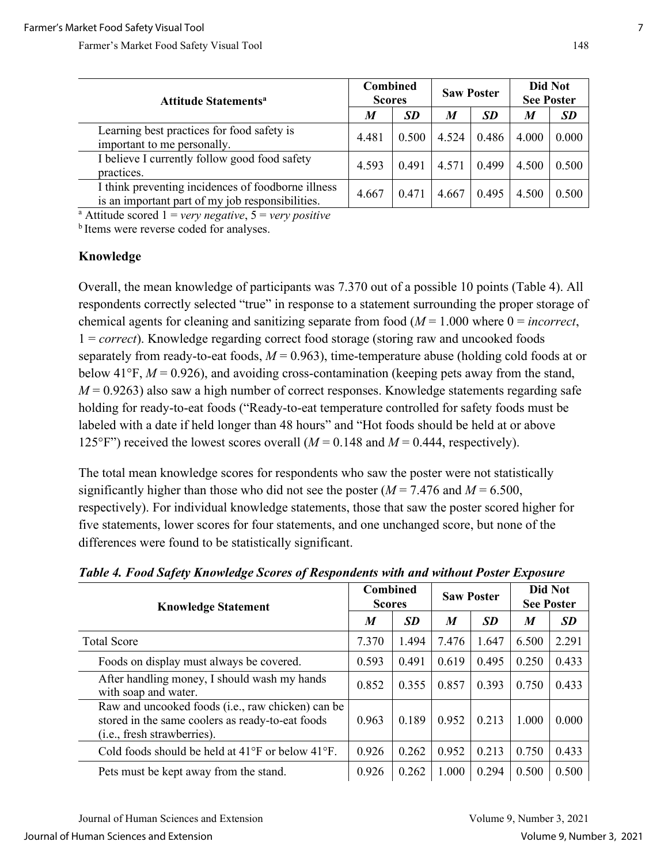| <b>Attitude Statements<sup>a</sup></b>                                                                 | Combined<br><b>Scores</b> |           | <b>Saw Poster</b> |           | Did Not<br><b>See Poster</b> |           |
|--------------------------------------------------------------------------------------------------------|---------------------------|-----------|-------------------|-----------|------------------------------|-----------|
|                                                                                                        | M                         | <b>SD</b> | $\boldsymbol{M}$  | <b>SD</b> | M                            | <b>SD</b> |
| Learning best practices for food safety is<br>important to me personally.                              | 4.481                     | 0.500     | 4.524             | 0.486     | 4.000                        | 0.000     |
| I believe I currently follow good food safety<br>practices.                                            | 4.593                     | 0.491     | 4.571             | 0.499     | 4.500                        | 0.500     |
| I think preventing incidences of foodborne illness<br>is an important part of my job responsibilities. | 4.667                     | 0.471     | 4.667             | 0.495     | 4.500                        | 0.500     |

a Attitude scored 1 = *very negative*, 5 = *very positive*

<sup>b</sup> Items were reverse coded for analyses.

#### **Knowledge**

Overall, the mean knowledge of participants was 7.370 out of a possible 10 points (Table 4). All respondents correctly selected "true" in response to a statement surrounding the proper storage of chemical agents for cleaning and sanitizing separate from food (*M* = 1.000 where 0 = *incorrect*, 1 = *correct*). Knowledge regarding correct food storage (storing raw and uncooked foods separately from ready-to-eat foods,  $M = 0.963$ ), time-temperature abuse (holding cold foods at or below 41 $\textdegree$ F,  $M = 0.926$ ), and avoiding cross-contamination (keeping pets away from the stand,  $M = 0.9263$ ) also saw a high number of correct responses. Knowledge statements regarding safe holding for ready-to-eat foods ("Ready-to-eat temperature controlled for safety foods must be labeled with a date if held longer than 48 hours" and "Hot foods should be held at or above 125°F") received the lowest scores overall  $(M = 0.148$  and  $M = 0.444$ , respectively).

The total mean knowledge scores for respondents who saw the poster were not statistically significantly higher than those who did not see the poster  $(M = 7.476$  and  $M = 6.500$ , respectively). For individual knowledge statements, those that saw the poster scored higher for five statements, lower scores for four statements, and one unchanged score, but none of the differences were found to be statistically significant.

| <b>Knowledge Statement</b>                                                                                                                    |       | <b>Combined</b><br><b>Scores</b> |       | <b>Saw Poster</b> |       | <b>Did Not</b><br><b>See Poster</b> |  |
|-----------------------------------------------------------------------------------------------------------------------------------------------|-------|----------------------------------|-------|-------------------|-------|-------------------------------------|--|
|                                                                                                                                               |       | <b>SD</b>                        | M     | <b>SD</b>         | M     | <b>SD</b>                           |  |
| <b>Total Score</b>                                                                                                                            | 7.370 | 1.494                            | 7.476 | 1.647             | 6.500 | 2.291                               |  |
| Foods on display must always be covered.                                                                                                      | 0.593 | 0.491                            | 0.619 | 0.495             | 0.250 | 0.433                               |  |
| After handling money, I should wash my hands<br>with soap and water.                                                                          | 0.852 | 0.355                            | 0.857 | 0.393             | 0.750 | 0.433                               |  |
| Raw and uncooked foods (i.e., raw chicken) can be<br>stored in the same coolers as ready-to-eat foods<br>( <i>i.e.</i> , fresh strawberries). | 0.963 | 0.189                            | 0.952 | 0.213             | 1.000 | 0.000                               |  |
| Cold foods should be held at $41^{\circ}$ F or below $41^{\circ}$ F.                                                                          | 0.926 | 0.262                            | 0.952 | 0.213             | 0.750 | 0.433                               |  |
| Pets must be kept away from the stand.                                                                                                        | 0.926 | 0.262                            | 1.000 | 0.294             | 0.500 | 0.500                               |  |

*Table 4. Food Safety Knowledge Scores of Respondents with and without Poster Exposure*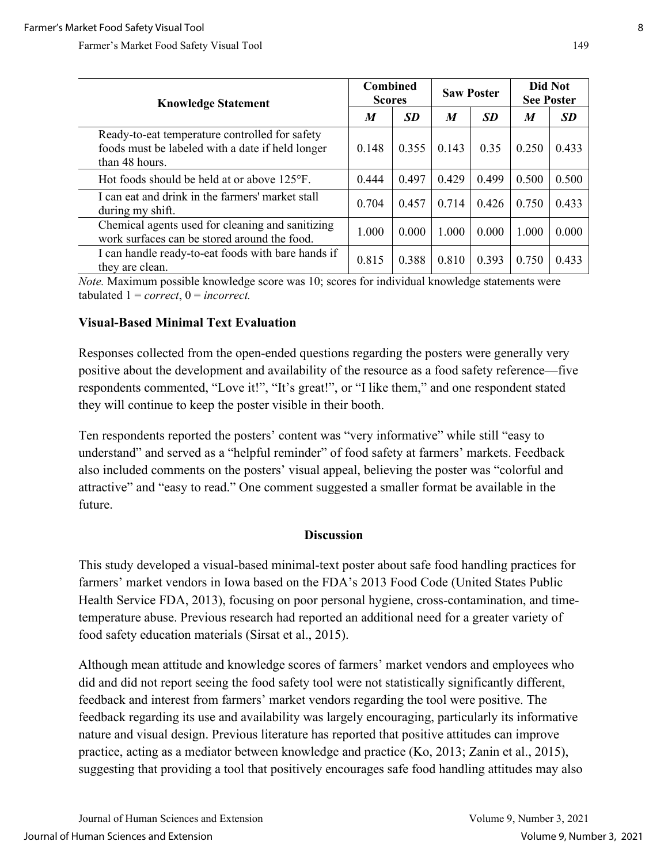| <b>Knowledge Statement</b>                                                                                           |       | <b>Combined</b><br><b>Scores</b> |       | <b>Saw Poster</b> |       | Did Not<br><b>See Poster</b> |  |
|----------------------------------------------------------------------------------------------------------------------|-------|----------------------------------|-------|-------------------|-------|------------------------------|--|
|                                                                                                                      |       | <b>SD</b>                        | M     | <b>SD</b>         | M     | <b>SD</b>                    |  |
| Ready-to-eat temperature controlled for safety<br>foods must be labeled with a date if held longer<br>than 48 hours. | 0.148 | 0.355                            | 0.143 | 0.35              | 0.250 | 0.433                        |  |
| Hot foods should be held at or above $125^{\circ}$ F.                                                                | 0.444 | 0.497                            | 0.429 | 0.499             | 0.500 | 0.500                        |  |
| I can eat and drink in the farmers' market stall<br>during my shift.                                                 | 0.704 | 0.457                            | 0.714 | 0.426             | 0.750 | 0.433                        |  |
| Chemical agents used for cleaning and sanitizing<br>work surfaces can be stored around the food.                     | 1.000 | 0.000                            | 1.000 | 0.000             | 1.000 | 0.000                        |  |
| I can handle ready-to-eat foods with bare hands if<br>they are clean.                                                | 0.815 | 0.388                            | 0.810 | 0.393             | 0.750 | 0.433                        |  |

*Note.* Maximum possible knowledge score was 10; scores for individual knowledge statements were tabulated  $1 = correct, 0 = incorrect.$ 

## **Visual-Based Minimal Text Evaluation**

Responses collected from the open-ended questions regarding the posters were generally very positive about the development and availability of the resource as a food safety reference—five respondents commented, "Love it!", "It's great!", or "I like them," and one respondent stated they will continue to keep the poster visible in their booth.

Ten respondents reported the posters' content was "very informative" while still "easy to understand" and served as a "helpful reminder" of food safety at farmers' markets. Feedback also included comments on the posters' visual appeal, believing the poster was "colorful and attractive" and "easy to read." One comment suggested a smaller format be available in the future.

#### **Discussion**

This study developed a visual-based minimal-text poster about safe food handling practices for farmers' market vendors in Iowa based on the FDA's 2013 Food Code (United States Public Health Service FDA, 2013), focusing on poor personal hygiene, cross-contamination, and timetemperature abuse. Previous research had reported an additional need for a greater variety of food safety education materials (Sirsat et al., 2015).

Although mean attitude and knowledge scores of farmers' market vendors and employees who did and did not report seeing the food safety tool were not statistically significantly different, feedback and interest from farmers' market vendors regarding the tool were positive. The feedback regarding its use and availability was largely encouraging, particularly its informative nature and visual design. Previous literature has reported that positive attitudes can improve practice, acting as a mediator between knowledge and practice (Ko, 2013; Zanin et al., 2015), suggesting that providing a tool that positively encourages safe food handling attitudes may also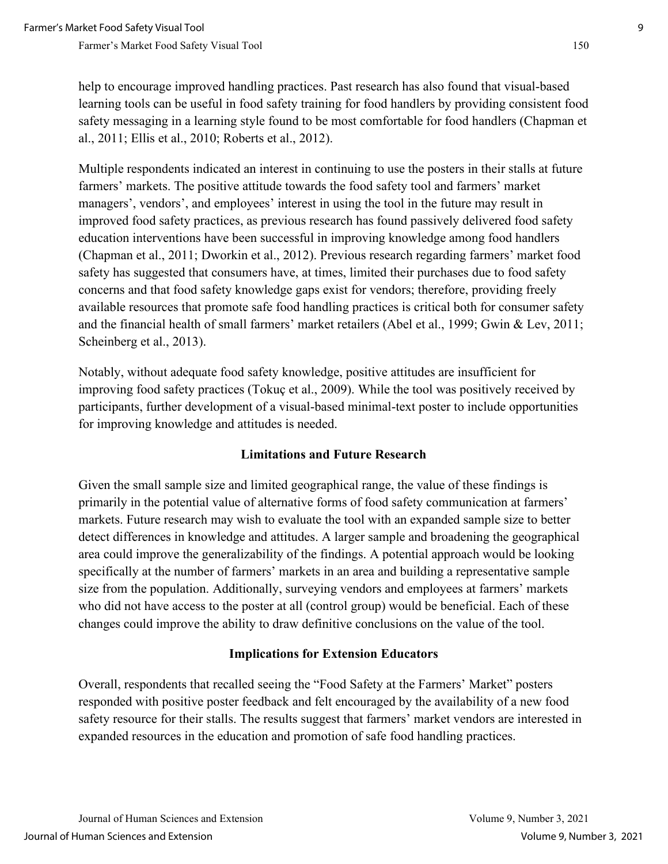Multiple respondents indicated an interest in continuing to use the posters in their stalls at future farmers' markets. The positive attitude towards the food safety tool and farmers' market managers', vendors', and employees' interest in using the tool in the future may result in improved food safety practices, as previous research has found passively delivered food safety education interventions have been successful in improving knowledge among food handlers (Chapman et al., 2011; Dworkin et al., 2012). Previous research regarding farmers' market food safety has suggested that consumers have, at times, limited their purchases due to food safety concerns and that food safety knowledge gaps exist for vendors; therefore, providing freely available resources that promote safe food handling practices is critical both for consumer safety and the financial health of small farmers' market retailers (Abel et al., 1999; Gwin & Lev, 2011; Scheinberg et al., 2013).

Notably, without adequate food safety knowledge, positive attitudes are insufficient for improving food safety practices (Tokuç et al., 2009). While the tool was positively received by participants, further development of a visual-based minimal-text poster to include opportunities for improving knowledge and attitudes is needed.

## **Limitations and Future Research**

Given the small sample size and limited geographical range, the value of these findings is primarily in the potential value of alternative forms of food safety communication at farmers' markets. Future research may wish to evaluate the tool with an expanded sample size to better detect differences in knowledge and attitudes. A larger sample and broadening the geographical area could improve the generalizability of the findings. A potential approach would be looking specifically at the number of farmers' markets in an area and building a representative sample size from the population. Additionally, surveying vendors and employees at farmers' markets who did not have access to the poster at all (control group) would be beneficial. Each of these changes could improve the ability to draw definitive conclusions on the value of the tool.

## **Implications for Extension Educators**

Overall, respondents that recalled seeing the "Food Safety at the Farmers' Market" posters responded with positive poster feedback and felt encouraged by the availability of a new food safety resource for their stalls. The results suggest that farmers' market vendors are interested in expanded resources in the education and promotion of safe food handling practices.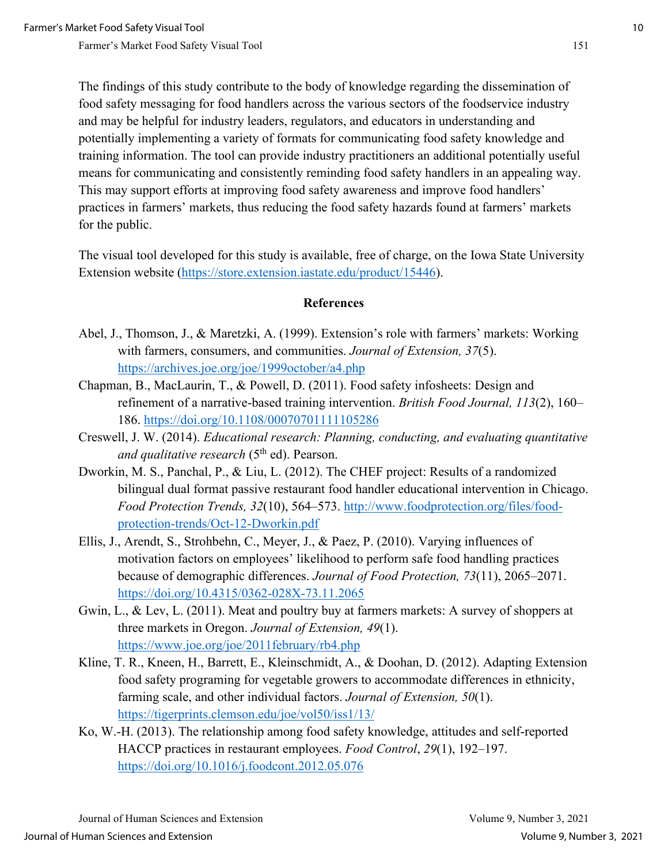The findings of this study contribute to the body of knowledge regarding the dissemination of food safety messaging for food handlers across the various sectors of the foodservice industry and may be helpful for industry leaders, regulators, and educators in understanding and potentially implementing a variety of formats for communicating food safety knowledge and training information. The tool can provide industry practitioners an additional potentially useful means for communicating and consistently reminding food safety handlers in an appealing way. This may support efforts at improving food safety awareness and improve food handlers' practices in farmers' markets, thus reducing the food safety hazards found at farmers' markets for the public.

The visual tool developed for this study is available, free of charge, on the Iowa State University Extension website [\(https://store.extension.iastate.edu/product/15446\)](https://store.extension.iastate.edu/product/15446).

#### **References**

- Abel, J., Thomson, J., & Maretzki, A. (1999). Extension's role with farmers' markets: Working with farmers, consumers, and communities. *Journal of Extension, 37*(5). <https://archives.joe.org/joe/1999october/a4.php>
- Chapman, B., MacLaurin, T., & Powell, D. (2011). Food safety infosheets: Design and refinement of a narrative-based training intervention. *British Food Journal, 113*(2), 160– 186.<https://doi.org/10.1108/00070701111105286>
- Creswell, J. W. (2014). *Educational research: Planning, conducting, and evaluating quantitative and qualitative research* (5<sup>th</sup> ed). Pearson.
- Dworkin, M. S., Panchal, P., & Liu, L. (2012). The CHEF project: Results of a randomized bilingual dual format passive restaurant food handler educational intervention in Chicago. *Food Protection Trends, 32*(10), 564–573. [http://www.foodprotection.org/files/food](http://www.foodprotection.org/files/food-protection-trends/Oct-12-Dworkin.pdf)[protection-trends/Oct-12-Dworkin.pdf](http://www.foodprotection.org/files/food-protection-trends/Oct-12-Dworkin.pdf)
- Ellis, J., Arendt, S., Strohbehn, C., Meyer, J., & Paez, P. (2010). Varying influences of motivation factors on employees' likelihood to perform safe food handling practices because of demographic differences. *Journal of Food Protection, 73*(11), 2065–2071. <https://doi.org/10.4315/0362-028X-73.11.2065>
- Gwin, L., & Lev, L. (2011). Meat and poultry buy at farmers markets: A survey of shoppers at three markets in Oregon. *Journal of Extension, 49*(1). <https://www.joe.org/joe/2011february/rb4.php>
- Kline, T. R., Kneen, H., Barrett, E., Kleinschmidt, A., & Doohan, D. (2012). Adapting Extension food safety programing for vegetable growers to accommodate differences in ethnicity, farming scale, and other individual factors. *Journal of Extension, 50*(1). <https://tigerprints.clemson.edu/joe/vol50/iss1/13/>
- Ko, W.-H. (2013). The relationship among food safety knowledge, attitudes and self-reported HACCP practices in restaurant employees. *Food Control*, *29*(1), 192–197. <https://doi.org/10.1016/j.foodcont.2012.05.076>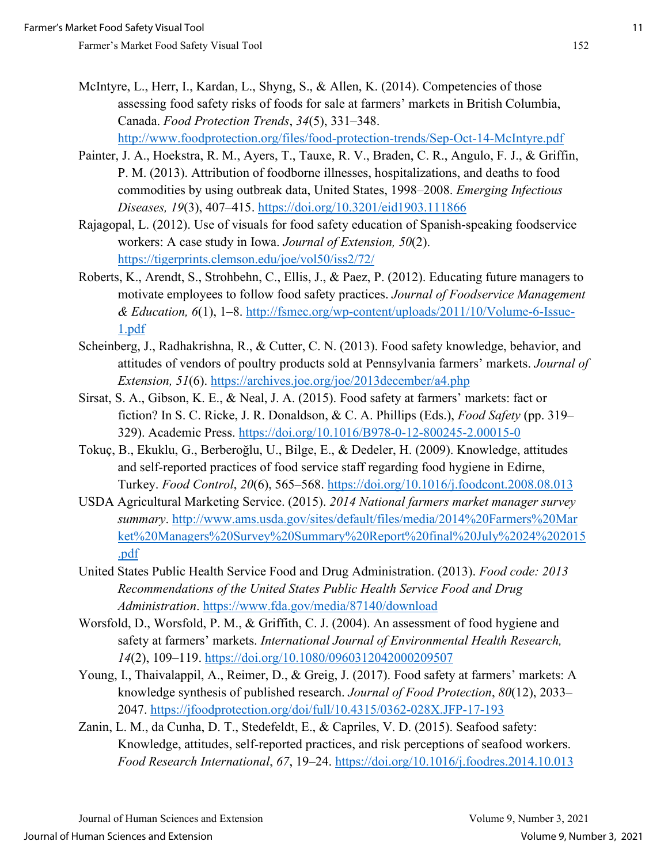- 
- McIntyre, L., Herr, I., Kardan, L., Shyng, S., & Allen, K. (2014). Competencies of those assessing food safety risks of foods for sale at farmers' markets in British Columbia, Canada. *Food Protection Trends*, *34*(5), 331–348. <http://www.foodprotection.org/files/food-protection-trends/Sep-Oct-14-McIntyre.pdf>
- Painter, J. A., Hoekstra, R. M., Ayers, T., Tauxe, R. V., Braden, C. R., Angulo, F. J., & Griffin, P. M. (2013). Attribution of foodborne illnesses, hospitalizations, and deaths to food commodities by using outbreak data, United States, 1998–2008. *Emerging Infectious Diseases, 19*(3), 407–415.<https://doi.org/10.3201/eid1903.111866>
- Rajagopal, L. (2012). Use of visuals for food safety education of Spanish-speaking foodservice workers: A case study in Iowa. *Journal of Extension, 50*(2). <https://tigerprints.clemson.edu/joe/vol50/iss2/72/>
- Roberts, K., Arendt, S., Strohbehn, C., Ellis, J., & Paez, P. (2012). Educating future managers to motivate employees to follow food safety practices. *Journal of Foodservice Management & Education, 6*(1), 1–8. [http://fsmec.org/wp-content/uploads/2011/10/Volume-6-Issue-](http://fsmec.org/wp-content/uploads/2011/10/Volume-6-Issue-1.pdf)[1.pdf](http://fsmec.org/wp-content/uploads/2011/10/Volume-6-Issue-1.pdf)
- Scheinberg, J., Radhakrishna, R., & Cutter, C. N. (2013). Food safety knowledge, behavior, and attitudes of vendors of poultry products sold at Pennsylvania farmers' markets. *Journal of Extension, 51*(6).<https://archives.joe.org/joe/2013december/a4.php>
- Sirsat, S. A., Gibson, K. E., & Neal, J. A. (2015). Food safety at farmers' markets: fact or fiction? In S. C. Ricke, J. R. Donaldson, & C. A. Phillips (Eds.), *Food Safety* (pp. 319– 329). Academic Press.<https://doi.org/10.1016/B978-0-12-800245-2.00015-0>
- Tokuç, B., Ekuklu, G., Berberoğlu, U., Bilge, E., & Dedeler, H. (2009). Knowledge, attitudes and self-reported practices of food service staff regarding food hygiene in Edirne, Turkey. *Food Control*, *20*(6), 565–568.<https://doi.org/10.1016/j.foodcont.2008.08.013>
- USDA Agricultural Marketing Service. (2015). *2014 National farmers market manager survey summary*. [http://www.ams.usda.gov/sites/default/files/media/2014%20Farmers%20Mar](http://www.ams.usda.gov/sites/default/files/media/2014%20Farmers%20Market%20Managers%20Survey%20Summary%20Report%20final%20July%2024%202015.pdf)  [ket%20Managers%20Survey%20Summary%20Report%20final%20July%2024%202015](http://www.ams.usda.gov/sites/default/files/media/2014%20Farmers%20Market%20Managers%20Survey%20Summary%20Report%20final%20July%2024%202015.pdf) [.pdf](http://www.ams.usda.gov/sites/default/files/media/2014%20Farmers%20Market%20Managers%20Survey%20Summary%20Report%20final%20July%2024%202015.pdf)
- United States Public Health Service Food and Drug Administration. (2013). *Food code: 2013 Recommendations of the United States Public Health Service Food and Drug Administration*.<https://www.fda.gov/media/87140/download>
- Worsfold, D., Worsfold, P. M., & Griffith, C. J. (2004). An assessment of food hygiene and safety at farmers' markets. *International Journal of Environmental Health Research, 14*(2), 109–119.<https://doi.org/10.1080/0960312042000209507>
- Young, I., Thaivalappil, A., Reimer, D., & Greig, J. (2017). Food safety at farmers' markets: A knowledge synthesis of published research. *Journal of Food Protection*, *80*(12), 2033– 2047.<https://jfoodprotection.org/doi/full/10.4315/0362-028X.JFP-17-193>
- Zanin, L. M., da Cunha, D. T., Stedefeldt, E., & Capriles, V. D. (2015). Seafood safety: Knowledge, attitudes, self-reported practices, and risk perceptions of seafood workers. *Food Research International*, *67*, 19–24.<https://doi.org/10.1016/j.foodres.2014.10.013>